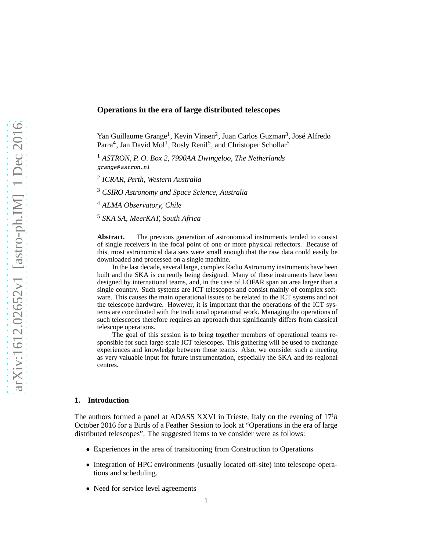# **Operations in the era of large distributed telescopes**

Yan Guillaume Grange<sup>1</sup>, Kevin Vinsen<sup>2</sup>, Juan Carlos Guzman<sup>3</sup>, José Alfredo Parra<sup>4</sup>, Jan David Mol<sup>1</sup>, Rosly Renil<sup>5</sup>, and Christoper Schollar<sup>5</sup>

<sup>1</sup> *ASTRON, P. O. Box 2, 7990AA Dwingeloo, The Netherlands* grange@astron.nl

2 *ICRAR, Perth, Western Australia*

<sup>3</sup> *CSIRO Astronomy and Space Science, Australia*

<sup>4</sup> *ALMA Observatory, Chile*

<sup>5</sup> *SKA SA, MeerKAT, South Africa*

Abstract. The previous generation of astronomical instruments tended to consist of single receivers in the focal point of one or more physical reflectors. Because of this, most astronomical data sets were small enough that the raw data could easily be downloaded and processed on a single machine.

In the last decade, several large, complex Radio Astronomy instruments have been built and the SKA is currently being designed. Many of these instruments have been designed by international teams, and, in the case of LOFAR span an area larger than a single country. Such systems are ICT telescopes and consist mainly of complex software. This causes the main operational issues to be related to the ICT systems and not the telescope hardware. However, it is important that the operations of the ICT systems are coordinated with the traditional operational work. Managing the operations of such telescopes therefore requires an approach that significantly differs from classical telescope operations.

The goal of this session is to bring together members of operational teams responsible for such large-scale ICT telescopes. This gathering will be used to exchange experiences and knowledge between those teams. Also, we consider such a meeting as very valuable input for future instrumentation, especially the SKA and its regional centres.

#### **1. Introduction**

The authors formed a panel at ADASS XXVI in Trieste, Italy on the evening of 17*th* October 2016 for a Birds of a Feather Session to look at "Operations in the era of large distributed telescopes". The suggested items to ve consider were as follows:

- Experiences in the area of transitioning from Construction to Operations
- Integration of HPC environments (usually located off-site) into telescope operations and scheduling.
- Need for service level agreements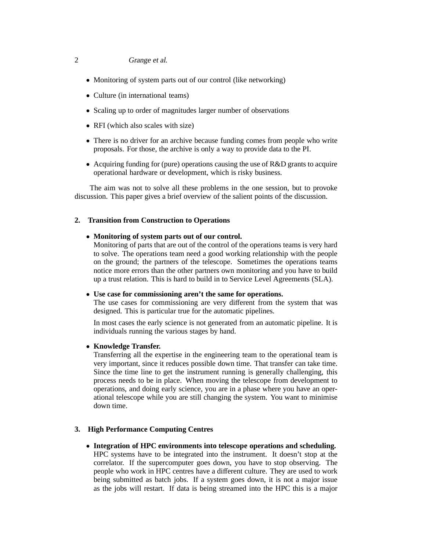### 2 Grange et al.

- Monitoring of system parts out of our control (like networking)
- Culture (in international teams)
- Scaling up to order of magnitudes larger number of observations
- RFI (which also scales with size)
- There is no driver for an archive because funding comes from people who write proposals. For those, the archive is only a way to provide data to the PI.
- Acquiring funding for (pure) operations causing the use of R&D grants to acquire operational hardware or development, which is risky business.

The aim was not to solve all these problems in the one session, but to provoke discussion. This paper gives a brief overview of the salient points of the discussion.

### **2. Transition from Construction to Operations**

#### • **Monitoring of system parts out of our control.**

Monitoring of parts that are out of the control of the operations teams is very hard to solve. The operations team need a good working relationship with the people on the ground; the partners of the telescope. Sometimes the operations teams notice more errors than the other partners own monitoring and you have to build up a trust relation. This is hard to build in to Service Level Agreements (SLA).

#### • **Use case for commissioning aren't the same for operations.**

The use cases for commissioning are very different from the system that was designed. This is particular true for the automatic pipelines.

In most cases the early science is not generated from an automatic pipeline. It is individuals running the various stages by hand.

#### • **Knowledge Transfer.**

Transferring all the expertise in the engineering team to the operational team is very important, since it reduces possible down time. That transfer can take time. Since the time line to get the instrument running is generally challenging, this process needs to be in place. When moving the telescope from development to operations, and doing early science, you are in a phase where you have an operational telescope while you are still changing the system. You want to minimise down time.

### **3. High Performance Computing Centres**

• **Integration of HPC environments into telescope operations and scheduling.** HPC systems have to be integrated into the instrument. It doesn't stop at the correlator. If the supercomputer goes down, you have to stop observing. The people who work in HPC centres have a different culture. They are used to work being submitted as batch jobs. If a system goes down, it is not a major issue as the jobs will restart. If data is being streamed into the HPC this is a major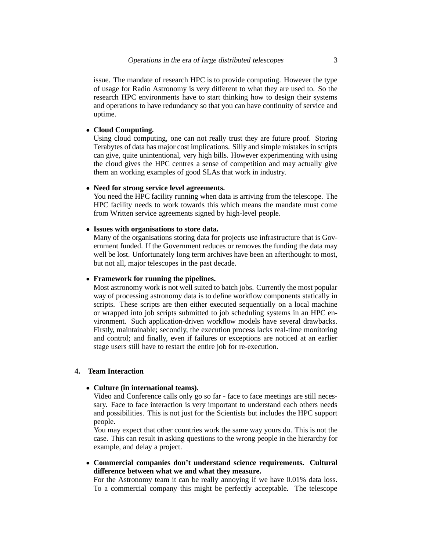issue. The mandate of research HPC is to provide computing. However the type of usage for Radio Astronomy is very different to what they are used to. So the research HPC environments have to start thinking how to design their systems and operations to have redundancy so that you can have continuity of service and uptime.

### • **Cloud Computing.**

Using cloud computing, one can not really trust they are future proof. Storing Terabytes of data has major cost implications. Silly and simple mistakes in scripts can give, quite unintentional, very high bills. However experimenting with using the cloud gives the HPC centres a sense of competition and may actually give them an working examples of good SLAs that work in industry.

## • **Need for strong service level agreements.**

You need the HPC facility running when data is arriving from the telescope. The HPC facility needs to work towards this which means the mandate must come from Written service agreements signed by high-level people.

### • **Issues with organisations to store data.**

Many of the organisations storing data for projects use infrastructure that is Government funded. If the Government reduces or removes the funding the data may well be lost. Unfortunately long term archives have been an afterthought to most, but not all, major telescopes in the past decade.

### • **Framework for running the pipelines.**

Most astronomy work is not well suited to batch jobs. Currently the most popular way of processing astronomy data is to define workflow components statically in scripts. These scripts are then either executed sequentially on a local machine or wrapped into job scripts submitted to job scheduling systems in an HPC environment. Such application-driven workflow models have several drawbacks. Firstly, maintainable; secondly, the execution process lacks real-time monitoring and control; and finally, even if failures or exceptions are noticed at an earlier stage users still have to restart the entire job for re-execution.

### **4. Team Interaction**

### • **Culture (in international teams).**

Video and Conference calls only go so far - face to face meetings are still necessary. Face to face interaction is very important to understand each others needs and possibilities. This is not just for the Scientists but includes the HPC support people.

You may expect that other countries work the same way yours do. This is not the case. This can result in asking questions to the wrong people in the hierarchy for example, and delay a project.

• **Commercial companies don't understand science requirements. Cultural di**ff**erence between what we and what they measure.**

For the Astronomy team it can be really annoying if we have 0.01% data loss. To a commercial company this might be perfectly acceptable. The telescope